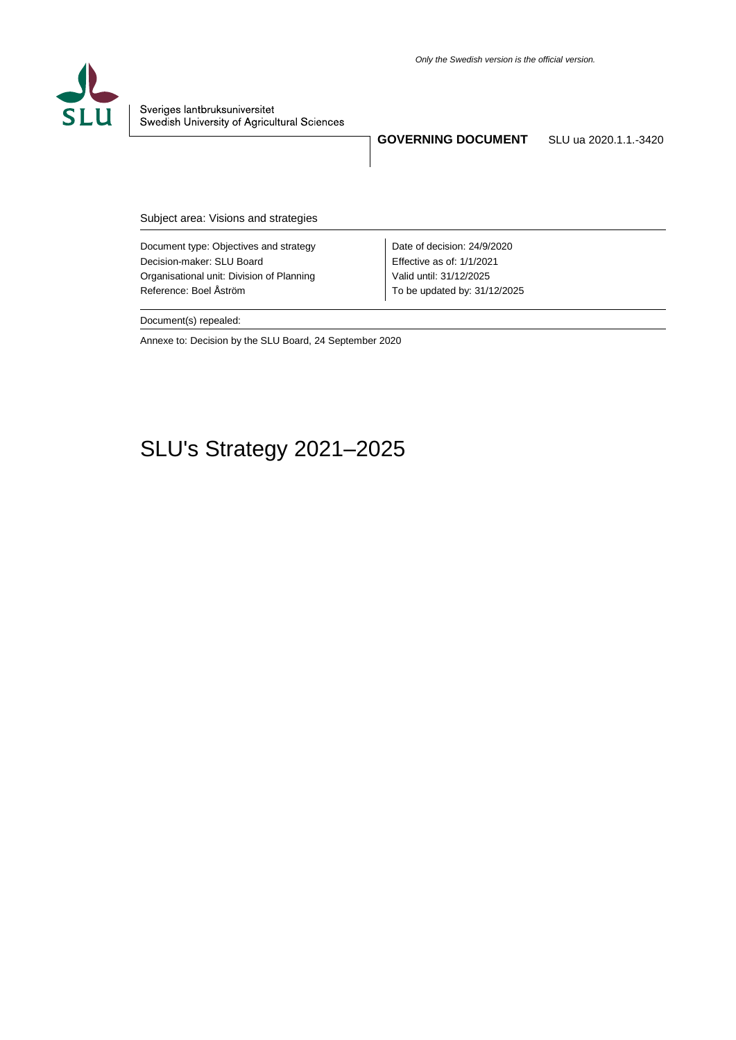

Sveriges lantbruksuniversitet Swedish University of Agricultural Sciences

**GOVERNING DOCUMENT** SLU ua 2020.1.1.-3420

Subject area: Visions and strategies

Document type: Objectives and strategy Decision-maker: SLU Board Organisational unit: Division of Planning Reference: Boel Åström

Date of decision: 24/9/2020 Effective as of: 1/1/2021 Valid until: 31/12/2025 To be updated by: 31/12/2025

Document(s) repealed:

Annexe to: Decision by the SLU Board, 24 September 2020

# SLU's Strategy 2021–2025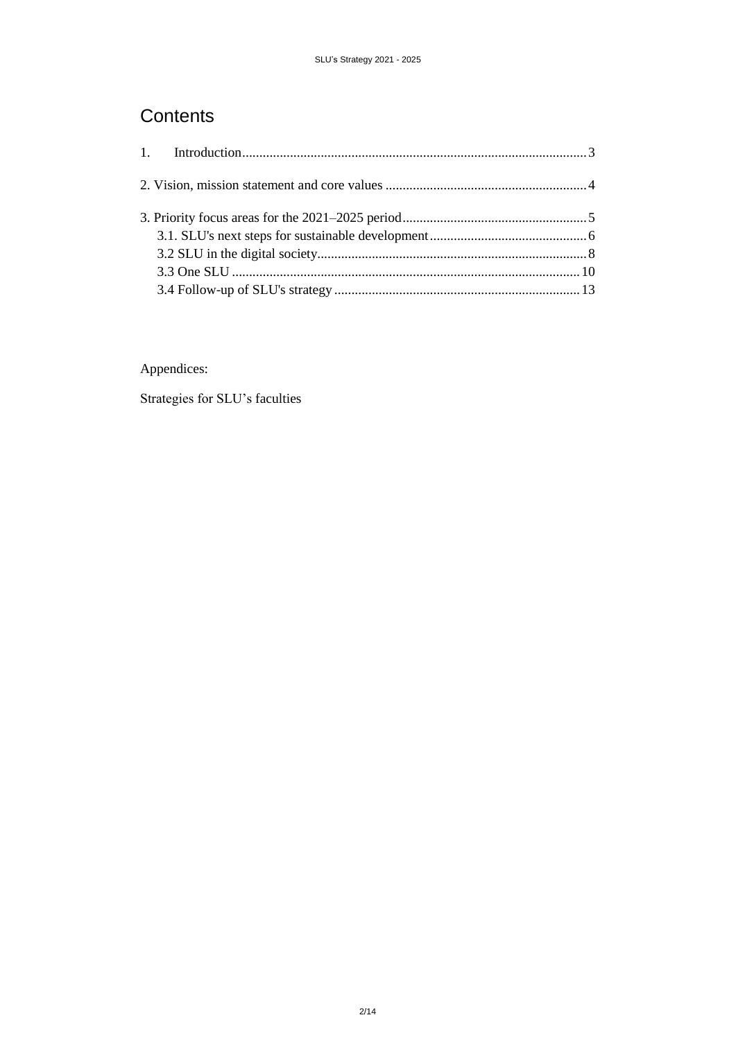## **Contents**

Appendices:

Strategies for SLU's faculties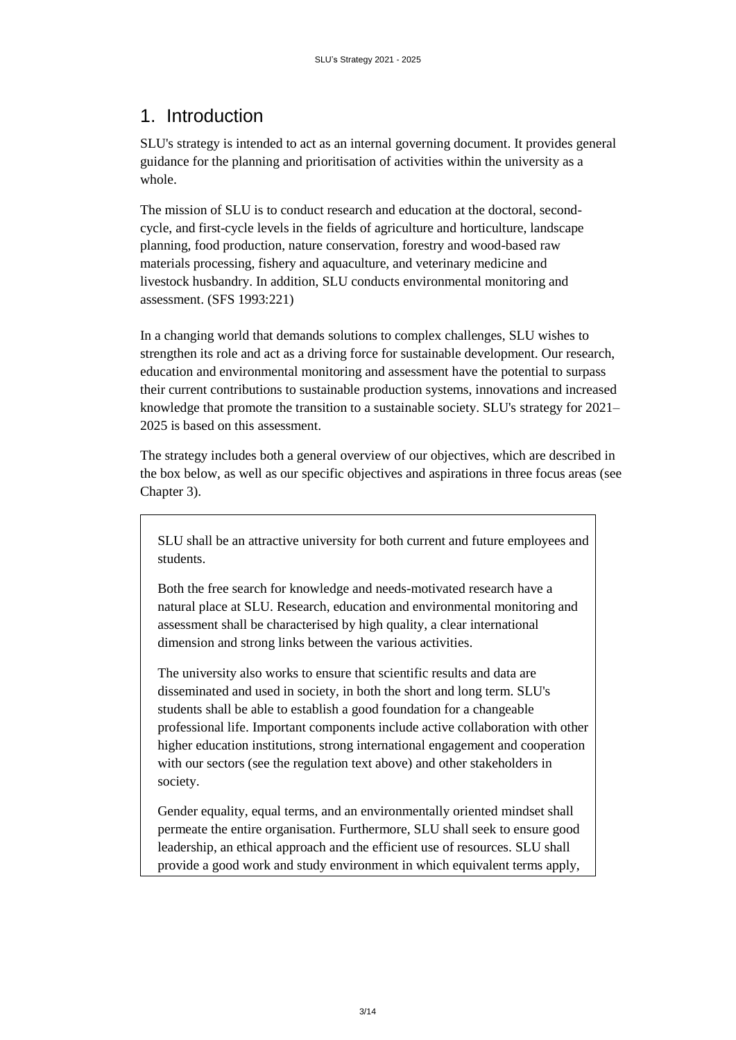## <span id="page-2-0"></span>1. Introduction

SLU's strategy is intended to act as an internal governing document. It provides general guidance for the planning and prioritisation of activities within the university as a whole.

The mission of SLU is to conduct research and education at the doctoral, secondcycle, and first-cycle levels in the fields of agriculture and horticulture, landscape planning, food production, nature conservation, forestry and wood-based raw materials processing, fishery and aquaculture, and veterinary medicine and livestock husbandry. In addition, SLU conducts environmental monitoring and assessment. (SFS 1993:221)

In a changing world that demands solutions to complex challenges, SLU wishes to strengthen its role and act as a driving force for sustainable development. Our research, education and environmental monitoring and assessment have the potential to surpass their current contributions to sustainable production systems, innovations and increased knowledge that promote the transition to a sustainable society. SLU's strategy for 2021– 2025 is based on this assessment.

The strategy includes both a general overview of our objectives, which are described in the box below, as well as our specific objectives and aspirations in three focus areas (see Chapter 3).

SLU shall be an attractive university for both current and future employees and students.

Both the free search for knowledge and needs-motivated research have a natural place at SLU. Research, education and environmental monitoring and assessment shall be characterised by high quality, a clear international dimension and strong links between the various activities.

The university also works to ensure that scientific results and data are disseminated and used in society, in both the short and long term. SLU's students shall be able to establish a good foundation for a changeable professional life. Important components include active collaboration with other higher education institutions, strong international engagement and cooperation with our sectors (see the regulation text above) and other stakeholders in society.

Gender equality, equal terms, and an environmentally oriented mindset shall permeate the entire organisation. Furthermore, SLU shall seek to ensure good leadership, an ethical approach and the efficient use of resources. SLU shall provide a good work and study environment in which equivalent terms apply,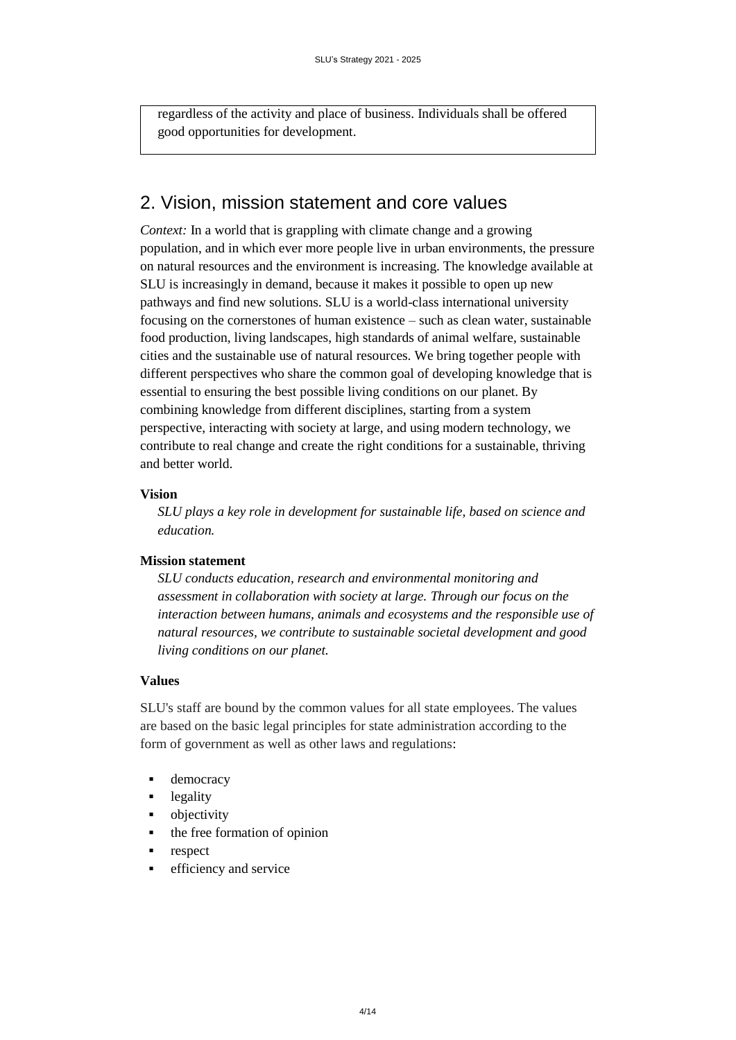regardless of the activity and place of business. Individuals shall be offered good opportunities for development.

## <span id="page-3-0"></span>2. Vision, mission statement and core values

*Context:* In a world that is grappling with climate change and a growing population, and in which ever more people live in urban environments, the pressure on natural resources and the environment is increasing. The knowledge available at SLU is increasingly in demand, because it makes it possible to open up new pathways and find new solutions. SLU is a world-class international university focusing on the cornerstones of human existence – such as clean water, sustainable food production, living landscapes, high standards of animal welfare, sustainable cities and the sustainable use of natural resources. We bring together people with different perspectives who share the common goal of developing knowledge that is essential to ensuring the best possible living conditions on our planet. By combining knowledge from different disciplines, starting from a system perspective, interacting with society at large, and using modern technology, we contribute to real change and create the right conditions for a sustainable, thriving and better world.

### **Vision**

*SLU plays a key role in development for sustainable life, based on science and education.*

### **Mission statement**

*SLU conducts education, research and environmental monitoring and assessment in collaboration with society at large. Through our focus on the interaction between humans, animals and ecosystems and the responsible use of natural resources, we contribute to sustainable societal development and good living conditions on our planet.*

#### **Values**

SLU's staff are bound by the common values for all state employees. The values are based on the basic legal principles for state administration according to the form of government as well as other laws and regulations:

- **democracy**
- **-** legality
- objectivity
- the free formation of opinion
- respect
- **e** efficiency and service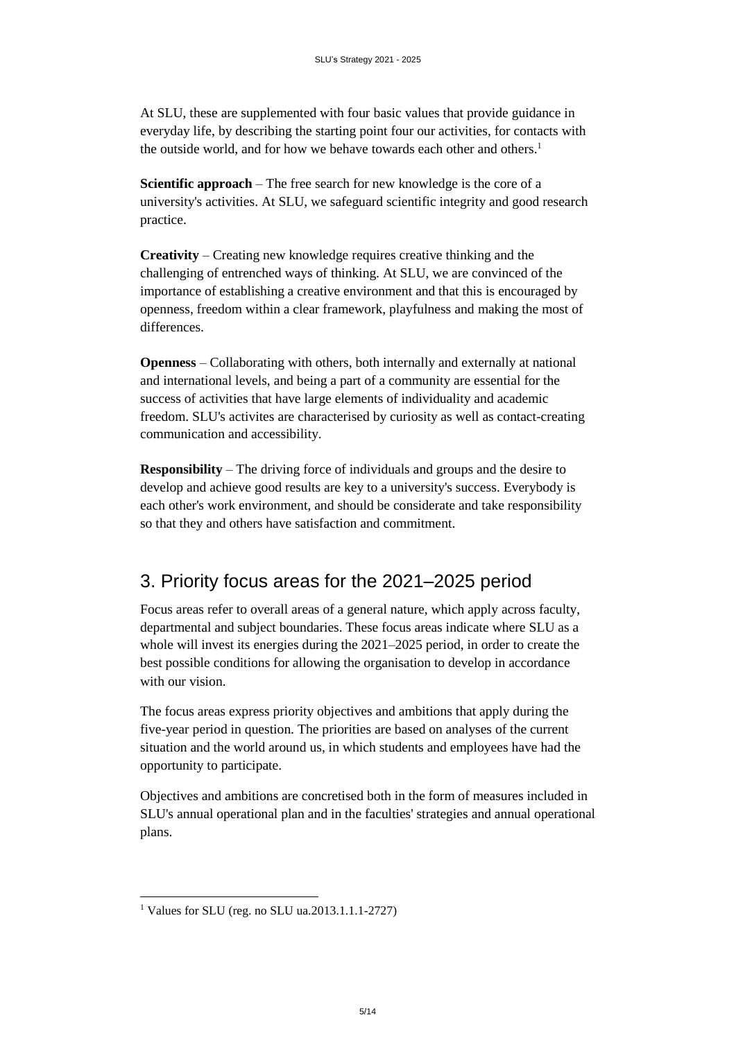At SLU, these are supplemented with four basic values that provide guidance in everyday life, by describing the starting point four our activities, for contacts with the outside world, and for how we behave towards each other and others.<sup>1</sup>

**Scientific approach** – The free search for new knowledge is the core of a university's activities. At SLU, we safeguard scientific integrity and good research practice.

**Creativity** – Creating new knowledge requires creative thinking and the challenging of entrenched ways of thinking. At SLU, we are convinced of the importance of establishing a creative environment and that this is encouraged by openness, freedom within a clear framework, playfulness and making the most of differences.

**Openness** – Collaborating with others, both internally and externally at national and international levels, and being a part of a community are essential for the success of activities that have large elements of individuality and academic freedom. SLU's activites are characterised by curiosity as well as contact-creating communication and accessibility.

**Responsibility** – The driving force of individuals and groups and the desire to develop and achieve good results are key to a university's success. Everybody is each other's work environment, and should be considerate and take responsibility so that they and others have satisfaction and commitment.

## <span id="page-4-0"></span>3. Priority focus areas for the 2021–2025 period

Focus areas refer to overall areas of a general nature, which apply across faculty, departmental and subject boundaries. These focus areas indicate where SLU as a whole will invest its energies during the 2021–2025 period, in order to create the best possible conditions for allowing the organisation to develop in accordance with our vision.

The focus areas express priority objectives and ambitions that apply during the five-year period in question. The priorities are based on analyses of the current situation and the world around us, in which students and employees have had the opportunity to participate.

Objectives and ambitions are concretised both in the form of measures included in SLU's annual operational plan and in the faculties' strategies and annual operational plans.

l

<sup>1</sup> Values for SLU (reg. no SLU ua.2013.1.1.1-2727)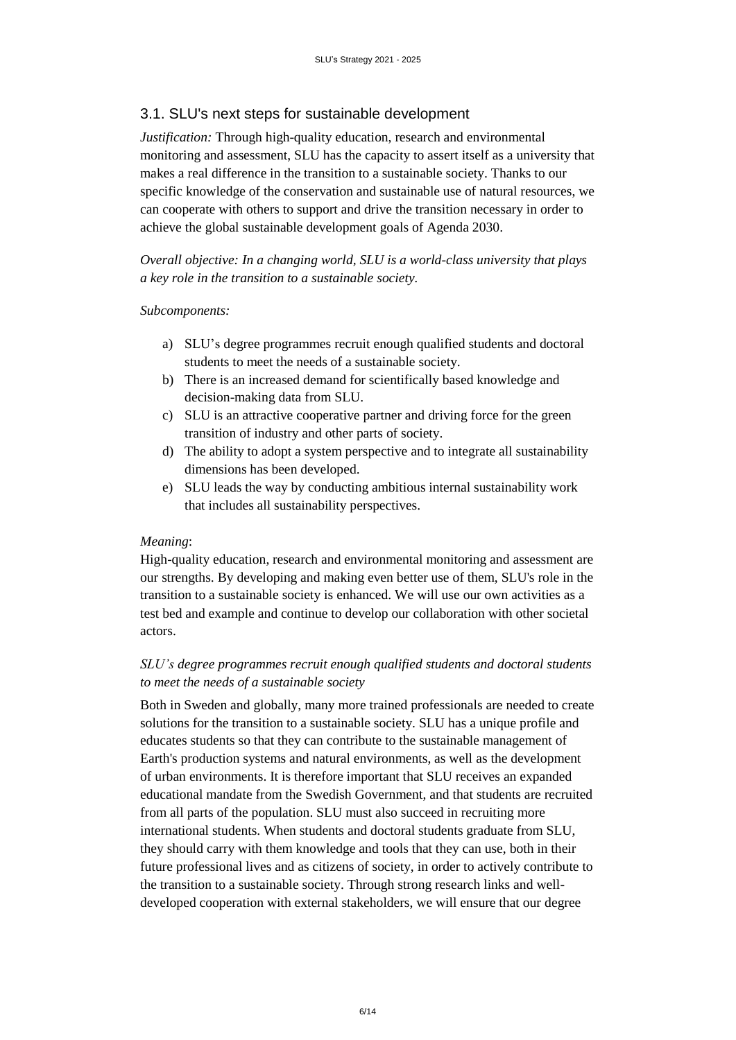### <span id="page-5-0"></span>3.1. SLU's next steps for sustainable development

*Justification:* Through high-quality education, research and environmental monitoring and assessment, SLU has the capacity to assert itself as a university that makes a real difference in the transition to a sustainable society. Thanks to our specific knowledge of the conservation and sustainable use of natural resources, we can cooperate with others to support and drive the transition necessary in order to achieve the global sustainable development goals of Agenda 2030.

*Overall objective: In a changing world, SLU is a world-class university that plays a key role in the transition to a sustainable society.*

#### *Subcomponents:*

- a) SLU's degree programmes recruit enough qualified students and doctoral students to meet the needs of a sustainable society.
- b) There is an increased demand for scientifically based knowledge and decision-making data from SLU.
- c) SLU is an attractive cooperative partner and driving force for the green transition of industry and other parts of society.
- d) The ability to adopt a system perspective and to integrate all sustainability dimensions has been developed.
- e) SLU leads the way by conducting ambitious internal sustainability work that includes all sustainability perspectives.

#### *Meaning*:

High-quality education, research and environmental monitoring and assessment are our strengths. By developing and making even better use of them, SLU's role in the transition to a sustainable society is enhanced. We will use our own activities as a test bed and example and continue to develop our collaboration with other societal actors.

### *SLU's degree programmes recruit enough qualified students and doctoral students to meet the needs of a sustainable society*

Both in Sweden and globally, many more trained professionals are needed to create solutions for the transition to a sustainable society. SLU has a unique profile and educates students so that they can contribute to the sustainable management of Earth's production systems and natural environments, as well as the development of urban environments. It is therefore important that SLU receives an expanded educational mandate from the Swedish Government, and that students are recruited from all parts of the population. SLU must also succeed in recruiting more international students. When students and doctoral students graduate from SLU, they should carry with them knowledge and tools that they can use, both in their future professional lives and as citizens of society, in order to actively contribute to the transition to a sustainable society. Through strong research links and welldeveloped cooperation with external stakeholders, we will ensure that our degree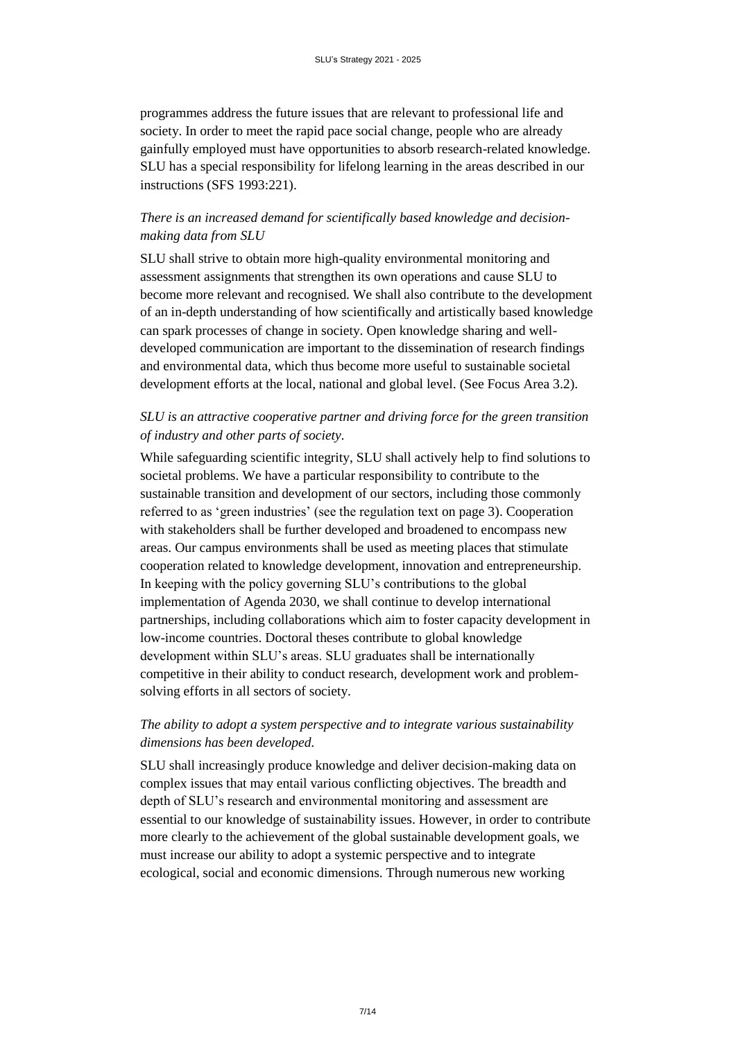programmes address the future issues that are relevant to professional life and society. In order to meet the rapid pace social change, people who are already gainfully employed must have opportunities to absorb research-related knowledge. SLU has a special responsibility for lifelong learning in the areas described in our instructions (SFS 1993:221).

## *There is an increased demand for scientifically based knowledge and decisionmaking data from SLU*

SLU shall strive to obtain more high-quality environmental monitoring and assessment assignments that strengthen its own operations and cause SLU to become more relevant and recognised. We shall also contribute to the development of an in-depth understanding of how scientifically and artistically based knowledge can spark processes of change in society. Open knowledge sharing and welldeveloped communication are important to the dissemination of research findings and environmental data, which thus become more useful to sustainable societal development efforts at the local, national and global level. (See Focus Area 3.2).

## *SLU is an attractive cooperative partner and driving force for the green transition of industry and other parts of society.*

While safeguarding scientific integrity, SLU shall actively help to find solutions to societal problems. We have a particular responsibility to contribute to the sustainable transition and development of our sectors, including those commonly referred to as 'green industries' (see the regulation text on page 3). Cooperation with stakeholders shall be further developed and broadened to encompass new areas. Our campus environments shall be used as meeting places that stimulate cooperation related to knowledge development, innovation and entrepreneurship. In keeping with the policy governing SLU's contributions to the global implementation of Agenda 2030, we shall continue to develop international partnerships, including collaborations which aim to foster capacity development in low-income countries. Doctoral theses contribute to global knowledge development within SLU's areas. SLU graduates shall be internationally competitive in their ability to conduct research, development work and problemsolving efforts in all sectors of society.

## *The ability to adopt a system perspective and to integrate various sustainability dimensions has been developed.*

SLU shall increasingly produce knowledge and deliver decision-making data on complex issues that may entail various conflicting objectives. The breadth and depth of SLU's research and environmental monitoring and assessment are essential to our knowledge of sustainability issues. However, in order to contribute more clearly to the achievement of the global sustainable development goals, we must increase our ability to adopt a systemic perspective and to integrate ecological, social and economic dimensions. Through numerous new working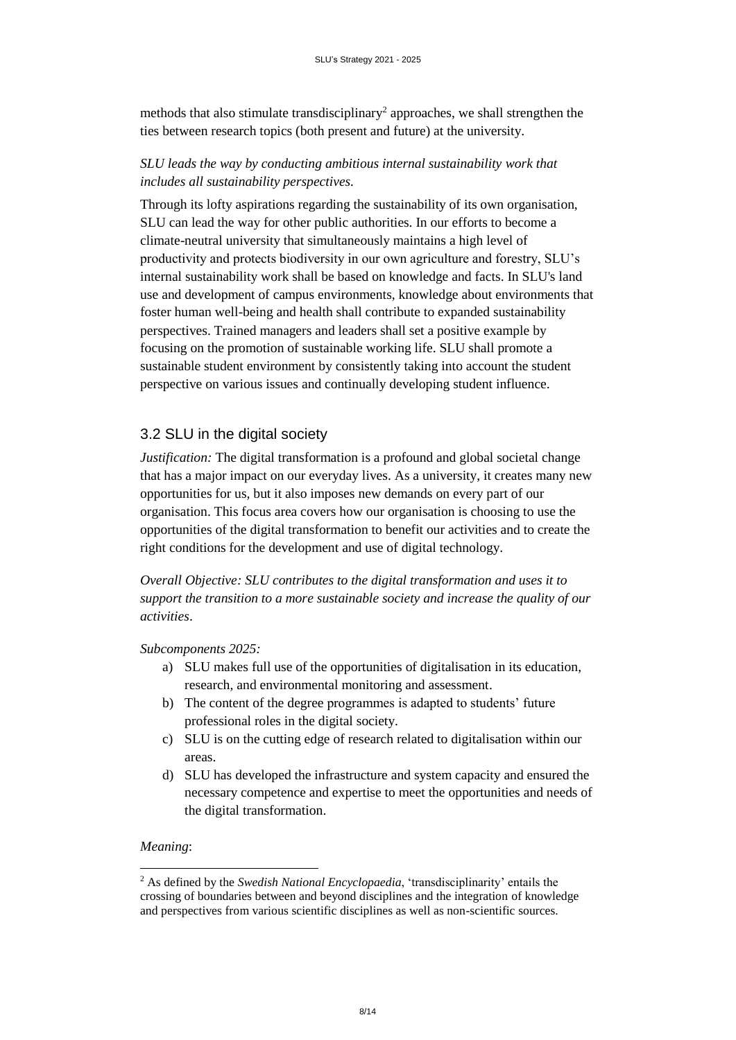methods that also stimulate transdisciplinary<sup>2</sup> approaches, we shall strengthen the ties between research topics (both present and future) at the university.

## *SLU leads the way by conducting ambitious internal sustainability work that includes all sustainability perspectives.*

Through its lofty aspirations regarding the sustainability of its own organisation, SLU can lead the way for other public authorities. In our efforts to become a climate-neutral university that simultaneously maintains a high level of productivity and protects biodiversity in our own agriculture and forestry, SLU's internal sustainability work shall be based on knowledge and facts. In SLU's land use and development of campus environments, knowledge about environments that foster human well-being and health shall contribute to expanded sustainability perspectives. Trained managers and leaders shall set a positive example by focusing on the promotion of sustainable working life. SLU shall promote a sustainable student environment by consistently taking into account the student perspective on various issues and continually developing student influence.

## <span id="page-7-0"></span>3.2 SLU in the digital society

*Justification:* The digital transformation is a profound and global societal change that has a major impact on our everyday lives. As a university, it creates many new opportunities for us, but it also imposes new demands on every part of our organisation. This focus area covers how our organisation is choosing to use the opportunities of the digital transformation to benefit our activities and to create the right conditions for the development and use of digital technology.

*Overall Objective: SLU contributes to the digital transformation and uses it to support the transition to a more sustainable society and increase the quality of our activities*.

### *Subcomponents 2025:*

- a) SLU makes full use of the opportunities of digitalisation in its education, research, and environmental monitoring and assessment.
- b) The content of the degree programmes is adapted to students' future professional roles in the digital society.
- c) SLU is on the cutting edge of research related to digitalisation within our areas.
- d) SLU has developed the infrastructure and system capacity and ensured the necessary competence and expertise to meet the opportunities and needs of the digital transformation.

#### *Meaning*:

 $\overline{a}$ 

<sup>2</sup> As defined by the *Swedish National Encyclopaedia*, 'transdisciplinarity' entails the crossing of boundaries between and beyond disciplines and the integration of knowledge and perspectives from various scientific disciplines as well as non-scientific sources.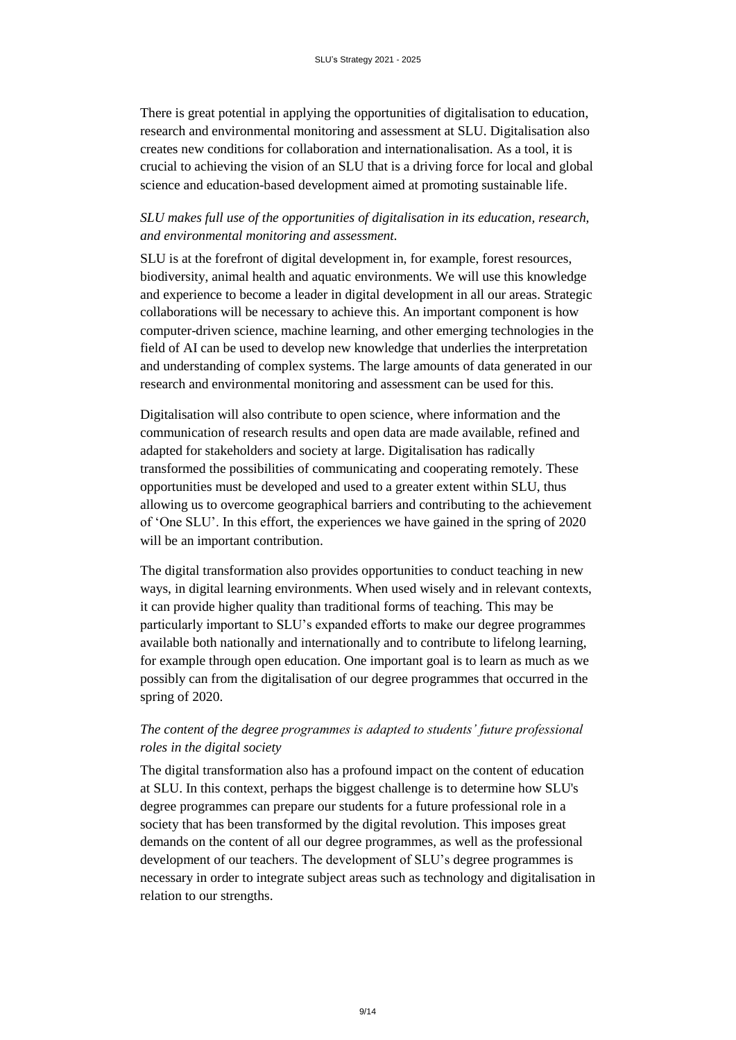There is great potential in applying the opportunities of digitalisation to education, research and environmental monitoring and assessment at SLU. Digitalisation also creates new conditions for collaboration and internationalisation. As a tool, it is crucial to achieving the vision of an SLU that is a driving force for local and global science and education-based development aimed at promoting sustainable life.

## *SLU makes full use of the opportunities of digitalisation in its education, research, and environmental monitoring and assessment.*

SLU is at the forefront of digital development in, for example, forest resources, biodiversity, animal health and aquatic environments. We will use this knowledge and experience to become a leader in digital development in all our areas. Strategic collaborations will be necessary to achieve this. An important component is how computer-driven science, machine learning, and other emerging technologies in the field of AI can be used to develop new knowledge that underlies the interpretation and understanding of complex systems. The large amounts of data generated in our research and environmental monitoring and assessment can be used for this.

Digitalisation will also contribute to open science, where information and the communication of research results and open data are made available, refined and adapted for stakeholders and society at large. Digitalisation has radically transformed the possibilities of communicating and cooperating remotely. These opportunities must be developed and used to a greater extent within SLU, thus allowing us to overcome geographical barriers and contributing to the achievement of 'One SLU'. In this effort, the experiences we have gained in the spring of 2020 will be an important contribution.

The digital transformation also provides opportunities to conduct teaching in new ways, in digital learning environments. When used wisely and in relevant contexts, it can provide higher quality than traditional forms of teaching. This may be particularly important to SLU's expanded efforts to make our degree programmes available both nationally and internationally and to contribute to lifelong learning, for example through open education. One important goal is to learn as much as we possibly can from the digitalisation of our degree programmes that occurred in the spring of 2020.

## *The content of the degree programmes is adapted to students' future professional roles in the digital society*

The digital transformation also has a profound impact on the content of education at SLU. In this context, perhaps the biggest challenge is to determine how SLU's degree programmes can prepare our students for a future professional role in a society that has been transformed by the digital revolution. This imposes great demands on the content of all our degree programmes, as well as the professional development of our teachers. The development of SLU's degree programmes is necessary in order to integrate subject areas such as technology and digitalisation in relation to our strengths.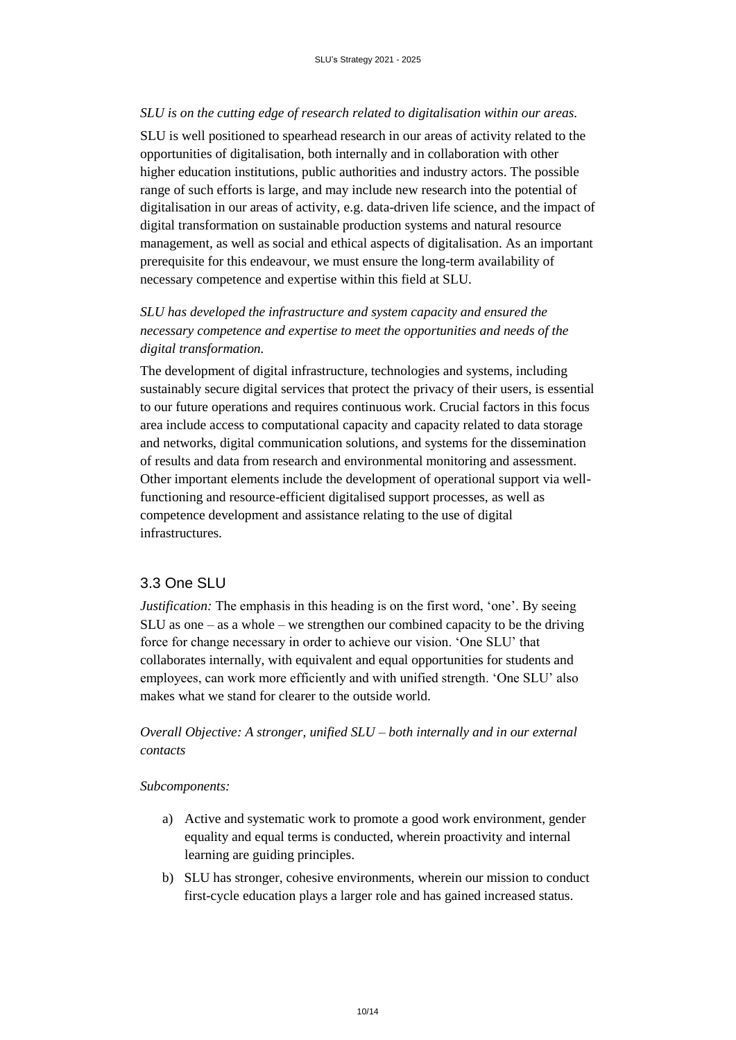#### *SLU is on the cutting edge of research related to digitalisation within our areas.*

SLU is well positioned to spearhead research in our areas of activity related to the opportunities of digitalisation, both internally and in collaboration with other higher education institutions, public authorities and industry actors. The possible range of such efforts is large, and may include new research into the potential of digitalisation in our areas of activity, e.g. data-driven life science, and the impact of digital transformation on sustainable production systems and natural resource management, as well as social and ethical aspects of digitalisation. As an important prerequisite for this endeavour, we must ensure the long-term availability of necessary competence and expertise within this field at SLU.

## *SLU has developed the infrastructure and system capacity and ensured the necessary competence and expertise to meet the opportunities and needs of the digital transformation.*

The development of digital infrastructure, technologies and systems, including sustainably secure digital services that protect the privacy of their users, is essential to our future operations and requires continuous work. Crucial factors in this focus area include access to computational capacity and capacity related to data storage and networks, digital communication solutions, and systems for the dissemination of results and data from research and environmental monitoring and assessment. Other important elements include the development of operational support via wellfunctioning and resource-efficient digitalised support processes, as well as competence development and assistance relating to the use of digital infrastructures.

## <span id="page-9-0"></span>3.3 One SLU

*Justification:* The emphasis in this heading is on the first word, 'one'. By seeing SLU as one – as a whole – we strengthen our combined capacity to be the driving force for change necessary in order to achieve our vision. 'One SLU' that collaborates internally, with equivalent and equal opportunities for students and employees, can work more efficiently and with unified strength. 'One SLU' also makes what we stand for clearer to the outside world.

## *Overall Objective: A stronger, unified SLU – both internally and in our external contacts*

#### *Subcomponents:*

- a) Active and systematic work to promote a good work environment, gender equality and equal terms is conducted, wherein proactivity and internal learning are guiding principles.
- b) SLU has stronger, cohesive environments, wherein our mission to conduct first-cycle education plays a larger role and has gained increased status.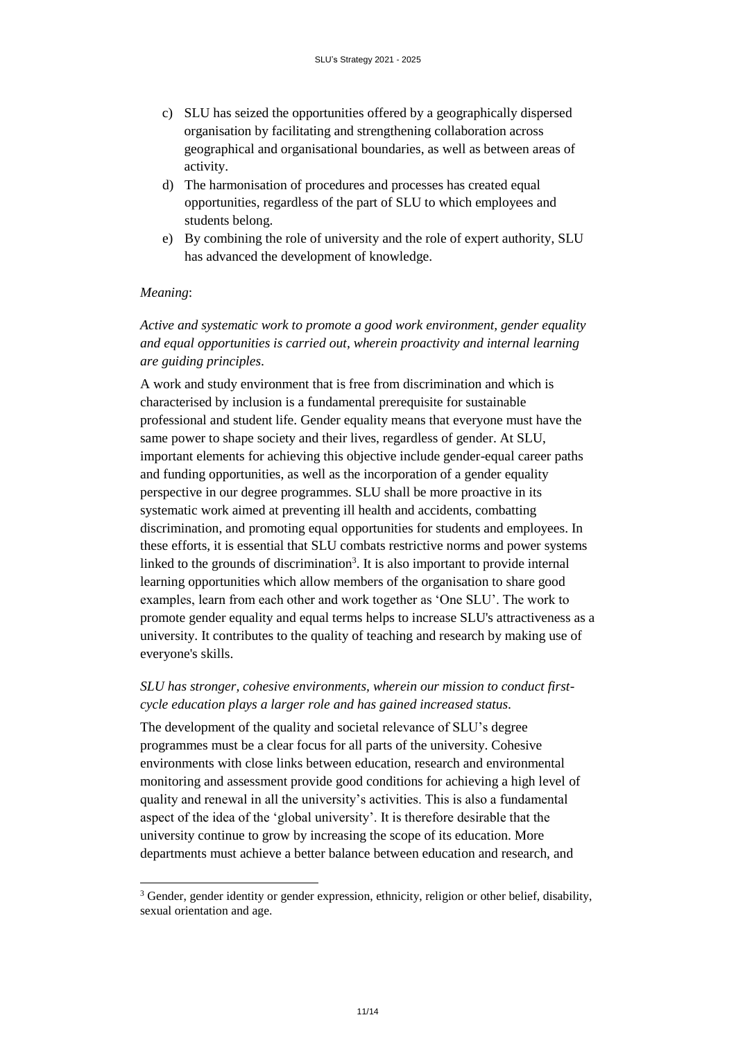- c) SLU has seized the opportunities offered by a geographically dispersed organisation by facilitating and strengthening collaboration across geographical and organisational boundaries, as well as between areas of activity.
- d) The harmonisation of procedures and processes has created equal opportunities, regardless of the part of SLU to which employees and students belong.
- e) By combining the role of university and the role of expert authority, SLU has advanced the development of knowledge.

#### *Meaning*:

l

## *Active and systematic work to promote a good work environment, gender equality and equal opportunities is carried out, wherein proactivity and internal learning are guiding principles.*

A work and study environment that is free from discrimination and which is characterised by inclusion is a fundamental prerequisite for sustainable professional and student life. Gender equality means that everyone must have the same power to shape society and their lives, regardless of gender. At SLU, important elements for achieving this objective include gender-equal career paths and funding opportunities, as well as the incorporation of a gender equality perspective in our degree programmes. SLU shall be more proactive in its systematic work aimed at preventing ill health and accidents, combatting discrimination, and promoting equal opportunities for students and employees. In these efforts, it is essential that SLU combats restrictive norms and power systems linked to the grounds of discrimination<sup>3</sup>. It is also important to provide internal learning opportunities which allow members of the organisation to share good examples, learn from each other and work together as 'One SLU'. The work to promote gender equality and equal terms helps to increase SLU's attractiveness as a university. It contributes to the quality of teaching and research by making use of everyone's skills.

## *SLU has stronger, cohesive environments, wherein our mission to conduct firstcycle education plays a larger role and has gained increased status.*

The development of the quality and societal relevance of SLU's degree programmes must be a clear focus for all parts of the university. Cohesive environments with close links between education, research and environmental monitoring and assessment provide good conditions for achieving a high level of quality and renewal in all the university's activities. This is also a fundamental aspect of the idea of the 'global university'. It is therefore desirable that the university continue to grow by increasing the scope of its education. More departments must achieve a better balance between education and research, and

<sup>&</sup>lt;sup>3</sup> Gender, gender identity or gender expression, ethnicity, religion or other belief, disability, sexual orientation and age.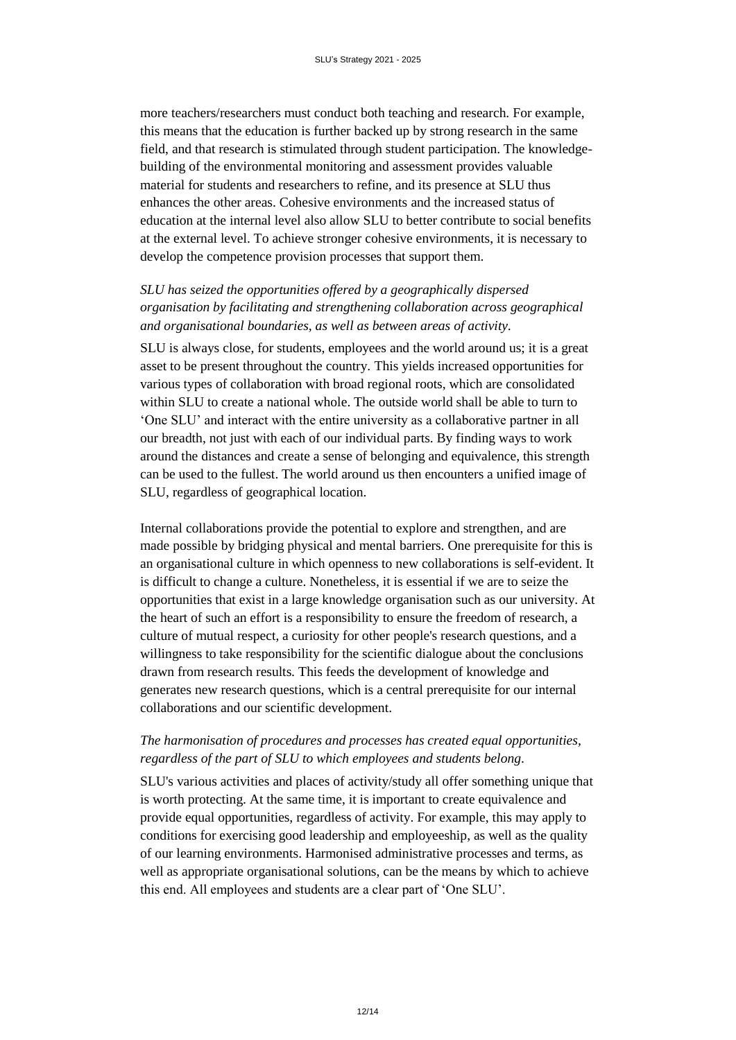more teachers/researchers must conduct both teaching and research. For example, this means that the education is further backed up by strong research in the same field, and that research is stimulated through student participation. The knowledgebuilding of the environmental monitoring and assessment provides valuable material for students and researchers to refine, and its presence at SLU thus enhances the other areas. Cohesive environments and the increased status of education at the internal level also allow SLU to better contribute to social benefits at the external level. To achieve stronger cohesive environments, it is necessary to develop the competence provision processes that support them.

## *SLU has seized the opportunities offered by a geographically dispersed organisation by facilitating and strengthening collaboration across geographical and organisational boundaries, as well as between areas of activity.*

SLU is always close, for students, employees and the world around us; it is a great asset to be present throughout the country. This yields increased opportunities for various types of collaboration with broad regional roots, which are consolidated within SLU to create a national whole. The outside world shall be able to turn to 'One SLU' and interact with the entire university as a collaborative partner in all our breadth, not just with each of our individual parts. By finding ways to work around the distances and create a sense of belonging and equivalence, this strength can be used to the fullest. The world around us then encounters a unified image of SLU, regardless of geographical location.

Internal collaborations provide the potential to explore and strengthen, and are made possible by bridging physical and mental barriers. One prerequisite for this is an organisational culture in which openness to new collaborations is self-evident. It is difficult to change a culture. Nonetheless, it is essential if we are to seize the opportunities that exist in a large knowledge organisation such as our university. At the heart of such an effort is a responsibility to ensure the freedom of research, a culture of mutual respect, a curiosity for other people's research questions, and a willingness to take responsibility for the scientific dialogue about the conclusions drawn from research results. This feeds the development of knowledge and generates new research questions, which is a central prerequisite for our internal collaborations and our scientific development.

## *The harmonisation of procedures and processes has created equal opportunities, regardless of the part of SLU to which employees and students belong.*

SLU's various activities and places of activity/study all offer something unique that is worth protecting. At the same time, it is important to create equivalence and provide equal opportunities, regardless of activity. For example, this may apply to conditions for exercising good leadership and employeeship, as well as the quality of our learning environments. Harmonised administrative processes and terms, as well as appropriate organisational solutions, can be the means by which to achieve this end. All employees and students are a clear part of 'One SLU'.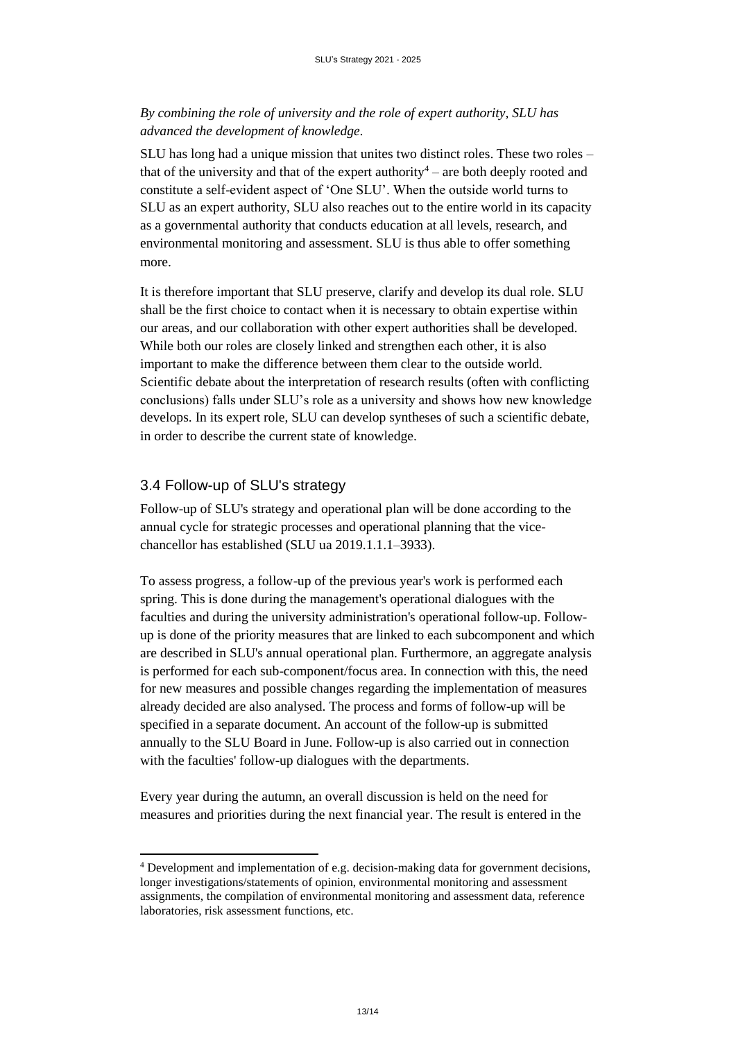## *By combining the role of university and the role of expert authority, SLU has advanced the development of knowledge.*

SLU has long had a unique mission that unites two distinct roles. These two roles – that of the university and that of the expert authority<sup>4</sup> – are both deeply rooted and constitute a self-evident aspect of 'One SLU'. When the outside world turns to SLU as an expert authority, SLU also reaches out to the entire world in its capacity as a governmental authority that conducts education at all levels, research, and environmental monitoring and assessment. SLU is thus able to offer something more.

It is therefore important that SLU preserve, clarify and develop its dual role. SLU shall be the first choice to contact when it is necessary to obtain expertise within our areas, and our collaboration with other expert authorities shall be developed. While both our roles are closely linked and strengthen each other, it is also important to make the difference between them clear to the outside world. Scientific debate about the interpretation of research results (often with conflicting conclusions) falls under SLU's role as a university and shows how new knowledge develops. In its expert role, SLU can develop syntheses of such a scientific debate, in order to describe the current state of knowledge.

## <span id="page-12-0"></span>3.4 Follow-up of SLU's strategy

l

Follow-up of SLU's strategy and operational plan will be done according to the annual cycle for strategic processes and operational planning that the vicechancellor has established (SLU ua 2019.1.1.1–3933).

To assess progress, a follow-up of the previous year's work is performed each spring. This is done during the management's operational dialogues with the faculties and during the university administration's operational follow-up. Followup is done of the priority measures that are linked to each subcomponent and which are described in SLU's annual operational plan. Furthermore, an aggregate analysis is performed for each sub-component/focus area. In connection with this, the need for new measures and possible changes regarding the implementation of measures already decided are also analysed. The process and forms of follow-up will be specified in a separate document. An account of the follow-up is submitted annually to the SLU Board in June. Follow-up is also carried out in connection with the faculties' follow-up dialogues with the departments.

Every year during the autumn, an overall discussion is held on the need for measures and priorities during the next financial year. The result is entered in the

<sup>4</sup> Development and implementation of e.g. decision-making data for government decisions, longer investigations/statements of opinion, environmental monitoring and assessment assignments, the compilation of environmental monitoring and assessment data, reference laboratories, risk assessment functions, etc.